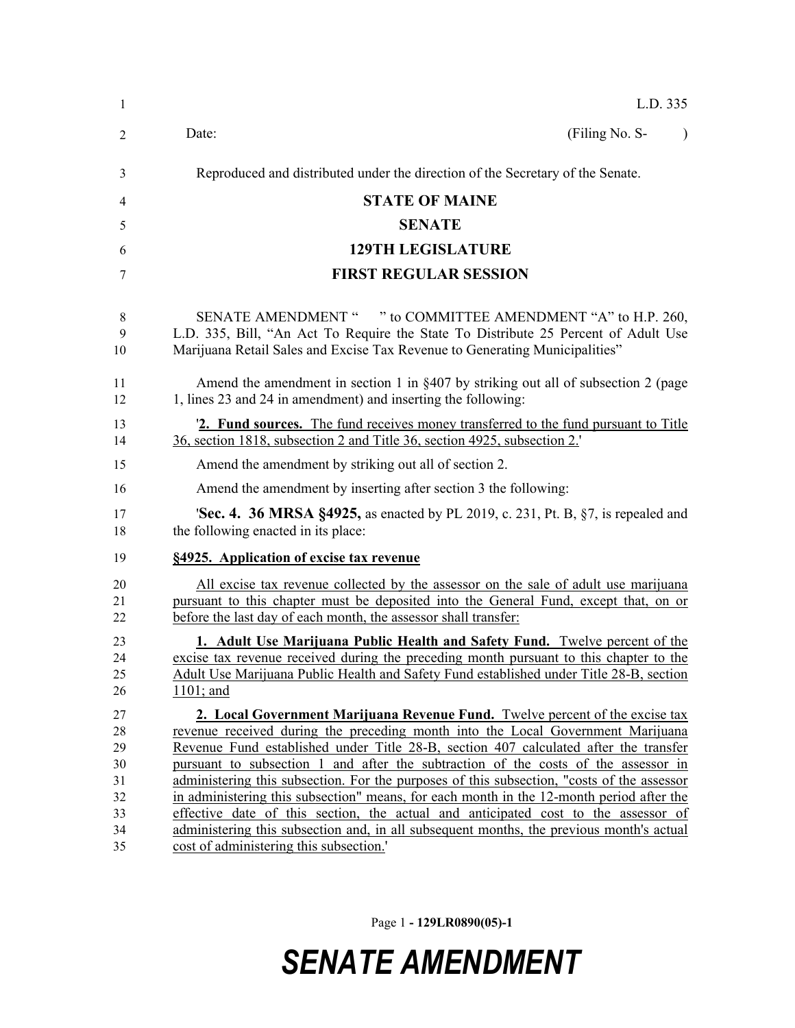| $\mathbf{1}$                                       | L.D. 335                                                                                                                                                                                                                                                                                                                                                                                                                                                                                                                                                                                                                                                                                                                                                             |
|----------------------------------------------------|----------------------------------------------------------------------------------------------------------------------------------------------------------------------------------------------------------------------------------------------------------------------------------------------------------------------------------------------------------------------------------------------------------------------------------------------------------------------------------------------------------------------------------------------------------------------------------------------------------------------------------------------------------------------------------------------------------------------------------------------------------------------|
| 2                                                  | (Filing No. S-<br>Date:<br>$\lambda$                                                                                                                                                                                                                                                                                                                                                                                                                                                                                                                                                                                                                                                                                                                                 |
| 3                                                  | Reproduced and distributed under the direction of the Secretary of the Senate.                                                                                                                                                                                                                                                                                                                                                                                                                                                                                                                                                                                                                                                                                       |
| 4                                                  | <b>STATE OF MAINE</b>                                                                                                                                                                                                                                                                                                                                                                                                                                                                                                                                                                                                                                                                                                                                                |
| 5                                                  | <b>SENATE</b>                                                                                                                                                                                                                                                                                                                                                                                                                                                                                                                                                                                                                                                                                                                                                        |
| 6                                                  | <b>129TH LEGISLATURE</b>                                                                                                                                                                                                                                                                                                                                                                                                                                                                                                                                                                                                                                                                                                                                             |
| 7                                                  | <b>FIRST REGULAR SESSION</b>                                                                                                                                                                                                                                                                                                                                                                                                                                                                                                                                                                                                                                                                                                                                         |
| 8<br>9<br>10                                       | SENATE AMENDMENT " " to COMMITTEE AMENDMENT "A" to H.P. 260,<br>L.D. 335, Bill, "An Act To Require the State To Distribute 25 Percent of Adult Use<br>Marijuana Retail Sales and Excise Tax Revenue to Generating Municipalities"                                                                                                                                                                                                                                                                                                                                                                                                                                                                                                                                    |
| 11<br>12                                           | Amend the amendment in section 1 in $\S 407$ by striking out all of subsection 2 (page<br>1, lines 23 and 24 in amendment) and inserting the following:                                                                                                                                                                                                                                                                                                                                                                                                                                                                                                                                                                                                              |
| 13<br>14                                           | <b>2. Fund sources.</b> The fund receives money transferred to the fund pursuant to Title<br>36, section 1818, subsection 2 and Title 36, section 4925, subsection 2.                                                                                                                                                                                                                                                                                                                                                                                                                                                                                                                                                                                                |
| 15                                                 | Amend the amendment by striking out all of section 2.                                                                                                                                                                                                                                                                                                                                                                                                                                                                                                                                                                                                                                                                                                                |
| 16                                                 | Amend the amendment by inserting after section 3 the following:                                                                                                                                                                                                                                                                                                                                                                                                                                                                                                                                                                                                                                                                                                      |
| 17<br>18                                           | <b>Sec. 4. 36 MRSA §4925,</b> as enacted by PL 2019, c. 231, Pt. B, §7, is repealed and<br>the following enacted in its place:                                                                                                                                                                                                                                                                                                                                                                                                                                                                                                                                                                                                                                       |
| 19                                                 | §4925. Application of excise tax revenue                                                                                                                                                                                                                                                                                                                                                                                                                                                                                                                                                                                                                                                                                                                             |
| 20<br>21<br>22                                     | All excise tax revenue collected by the assessor on the sale of adult use marijuana<br>pursuant to this chapter must be deposited into the General Fund, except that, on or<br>before the last day of each month, the assessor shall transfer:                                                                                                                                                                                                                                                                                                                                                                                                                                                                                                                       |
| 23<br>24<br>25<br>26                               | 1. Adult Use Marijuana Public Health and Safety Fund. Twelve percent of the<br>excise tax revenue received during the preceding month pursuant to this chapter to the<br>Adult Use Marijuana Public Health and Safety Fund established under Title 28-B, section<br>$1101$ ; and                                                                                                                                                                                                                                                                                                                                                                                                                                                                                     |
| 27<br>28<br>29<br>30<br>31<br>32<br>33<br>34<br>35 | 2. Local Government Marijuana Revenue Fund. Twelve percent of the excise tax<br>revenue received during the preceding month into the Local Government Marijuana<br>Revenue Fund established under Title 28-B, section 407 calculated after the transfer<br>pursuant to subsection 1 and after the subtraction of the costs of the assessor in<br>administering this subsection. For the purposes of this subsection, "costs of the assessor<br>in administering this subsection" means, for each month in the 12-month period after the<br>effective date of this section, the actual and anticipated cost to the assessor of<br>administering this subsection and, in all subsequent months, the previous month's actual<br>cost of administering this subsection.' |

Page 1 **- 129LR0890(05)-1**

## *SENATE AMENDMENT*